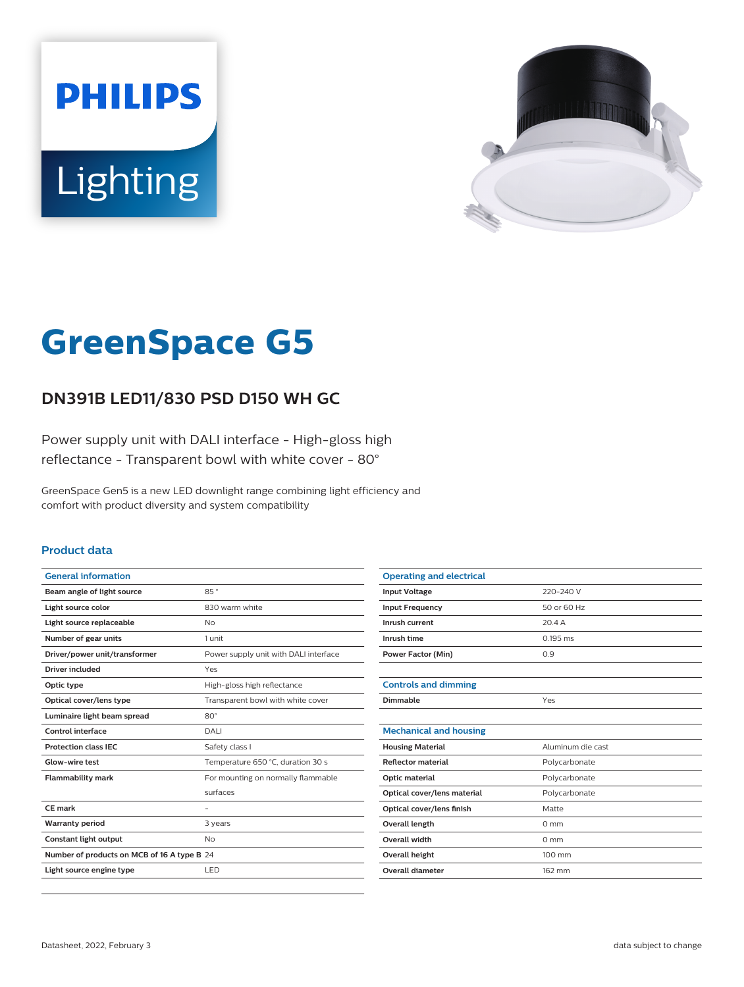



# **GreenSpace G5**

## **DN391B LED11/830 PSD D150 WH GC**

Power supply unit with DALI interface - High-gloss high reflectance - Transparent bowl with white cover - 80°

GreenSpace Gen5 is a new LED downlight range combining light efficiency and comfort with product diversity and system compatibility

#### **Product data**

| <b>General information</b>                  |                                       |
|---------------------------------------------|---------------------------------------|
| Beam angle of light source                  | 85°                                   |
| Light source color                          | 830 warm white                        |
| Light source replaceable                    | No                                    |
| Number of gear units                        | 1 unit                                |
| Driver/power unit/transformer               | Power supply unit with DALI interface |
| Driver included                             | Yes                                   |
| Optic type                                  | High-gloss high reflectance           |
| Optical cover/lens type                     | Transparent bowl with white cover     |
| Luminaire light beam spread                 | $80^\circ$                            |
| Control interface                           | DALI                                  |
| <b>Protection class IFC</b>                 | Safety class I                        |
| <b>Glow-wire test</b>                       | Temperature 650 °C, duration 30 s     |
| <b>Flammability mark</b>                    | For mounting on normally flammable    |
|                                             | surfaces                              |
| CE mark                                     |                                       |
| <b>Warranty period</b>                      | 3 years                               |
| <b>Constant light output</b>                | No                                    |
| Number of products on MCB of 16 A type B 24 |                                       |
| Light source engine type                    | LED                                   |

| <b>Operating and electrical</b> |                   |
|---------------------------------|-------------------|
| <b>Input Voltage</b>            | 220-240 V         |
| <b>Input Frequency</b>          | 50 or 60 Hz       |
| Inrush current                  | 204A              |
| Inrush time                     | $0.195$ ms        |
| <b>Power Factor (Min)</b>       | 0.9               |
|                                 |                   |
| <b>Controls and dimming</b>     |                   |
| Dimmable                        | Yes               |
|                                 |                   |
| <b>Mechanical and housing</b>   |                   |
| <b>Housing Material</b>         | Aluminum die cast |
| <b>Reflector material</b>       | Polycarbonate     |
| Optic material                  | Polycarbonate     |
| Optical cover/lens material     | Polycarbonate     |
| Optical cover/lens finish       | Matte             |
| Overall length                  | $0 \text{ mm}$    |
| Overall width                   | $0 \text{ mm}$    |
| <b>Overall height</b>           | 100 mm            |
| <b>Overall diameter</b>         | 162 mm            |
|                                 |                   |